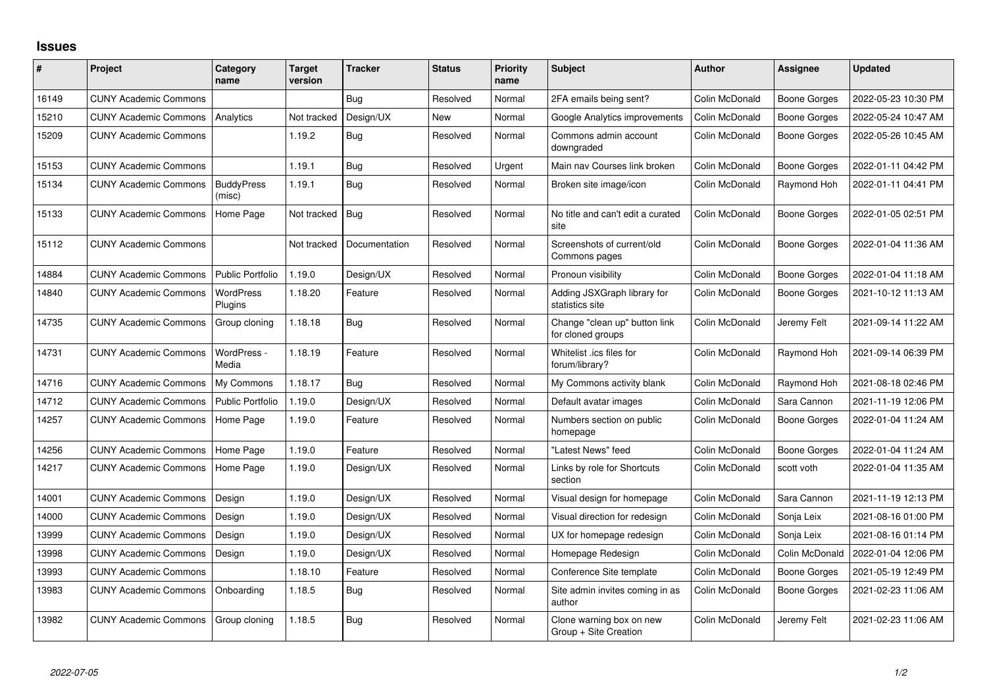## **Issues**

| #     | Project                      | Category<br>name            | <b>Target</b><br>version | <b>Tracker</b> | <b>Status</b> | <b>Priority</b><br>name | <b>Subject</b>                                     | <b>Author</b>  | Assignee            | <b>Updated</b>      |
|-------|------------------------------|-----------------------------|--------------------------|----------------|---------------|-------------------------|----------------------------------------------------|----------------|---------------------|---------------------|
| 16149 | <b>CUNY Academic Commons</b> |                             |                          | Bug            | Resolved      | Normal                  | 2FA emails being sent?                             | Colin McDonald | <b>Boone Gorges</b> | 2022-05-23 10:30 PM |
| 15210 | <b>CUNY Academic Commons</b> | Analytics                   | Not tracked              | Design/UX      | <b>New</b>    | Normal                  | Google Analytics improvements                      | Colin McDonald | <b>Boone Gorges</b> | 2022-05-24 10:47 AM |
| 15209 | <b>CUNY Academic Commons</b> |                             | 1.19.2                   | Bug            | Resolved      | Normal                  | Commons admin account<br>downgraded                | Colin McDonald | Boone Gorges        | 2022-05-26 10:45 AM |
| 15153 | <b>CUNY Academic Commons</b> |                             | 1.19.1                   | Bug            | Resolved      | Urgent                  | Main nav Courses link broken                       | Colin McDonald | <b>Boone Gorges</b> | 2022-01-11 04:42 PM |
| 15134 | <b>CUNY Academic Commons</b> | <b>BuddyPress</b><br>(misc) | 1.19.1                   | <b>Bug</b>     | Resolved      | Normal                  | Broken site image/icon                             | Colin McDonald | Raymond Hoh         | 2022-01-11 04:41 PM |
| 15133 | <b>CUNY Academic Commons</b> | Home Page                   | Not tracked              | <b>Bug</b>     | Resolved      | Normal                  | No title and can't edit a curated<br>site          | Colin McDonald | <b>Boone Gorges</b> | 2022-01-05 02:51 PM |
| 15112 | <b>CUNY Academic Commons</b> |                             | Not tracked              | Documentation  | Resolved      | Normal                  | Screenshots of current/old<br>Commons pages        | Colin McDonald | <b>Boone Gorges</b> | 2022-01-04 11:36 AM |
| 14884 | <b>CUNY Academic Commons</b> | <b>Public Portfolio</b>     | 1.19.0                   | Design/UX      | Resolved      | Normal                  | Pronoun visibility                                 | Colin McDonald | <b>Boone Gorges</b> | 2022-01-04 11:18 AM |
| 14840 | <b>CUNY Academic Commons</b> | <b>WordPress</b><br>Plugins | 1.18.20                  | Feature        | Resolved      | Normal                  | Adding JSXGraph library for<br>statistics site     | Colin McDonald | <b>Boone Gorges</b> | 2021-10-12 11:13 AM |
| 14735 | <b>CUNY Academic Commons</b> | Group cloning               | 1.18.18                  | Bug            | Resolved      | Normal                  | Change "clean up" button link<br>for cloned groups | Colin McDonald | Jeremy Felt         | 2021-09-14 11:22 AM |
| 14731 | <b>CUNY Academic Commons</b> | WordPress -<br>Media        | 1.18.19                  | Feature        | Resolved      | Normal                  | Whitelist .ics files for<br>forum/library?         | Colin McDonald | Raymond Hoh         | 2021-09-14 06:39 PM |
| 14716 | <b>CUNY Academic Commons</b> | My Commons                  | 1.18.17                  | Bug            | Resolved      | Normal                  | My Commons activity blank                          | Colin McDonald | Raymond Hoh         | 2021-08-18 02:46 PM |
| 14712 | <b>CUNY Academic Commons</b> | <b>Public Portfolio</b>     | 1.19.0                   | Design/UX      | Resolved      | Normal                  | Default avatar images                              | Colin McDonald | Sara Cannon         | 2021-11-19 12:06 PM |
| 14257 | <b>CUNY Academic Commons</b> | Home Page                   | 1.19.0                   | Feature        | Resolved      | Normal                  | Numbers section on public<br>homepage              | Colin McDonald | <b>Boone Gorges</b> | 2022-01-04 11:24 AM |
| 14256 | <b>CUNY Academic Commons</b> | Home Page                   | 1.19.0                   | Feature        | Resolved      | Normal                  | "Latest News" feed                                 | Colin McDonald | Boone Gorges        | 2022-01-04 11:24 AM |
| 14217 | <b>CUNY Academic Commons</b> | Home Page                   | 1.19.0                   | Design/UX      | Resolved      | Normal                  | Links by role for Shortcuts<br>section             | Colin McDonald | scott voth          | 2022-01-04 11:35 AM |
| 14001 | <b>CUNY Academic Commons</b> | Design                      | 1.19.0                   | Design/UX      | Resolved      | Normal                  | Visual design for homepage                         | Colin McDonald | Sara Cannon         | 2021-11-19 12:13 PM |
| 14000 | <b>CUNY Academic Commons</b> | Design                      | 1.19.0                   | Design/UX      | Resolved      | Normal                  | Visual direction for redesign                      | Colin McDonald | Sonja Leix          | 2021-08-16 01:00 PM |
| 13999 | <b>CUNY Academic Commons</b> | Design                      | 1.19.0                   | Design/UX      | Resolved      | Normal                  | UX for homepage redesign                           | Colin McDonald | Sonja Leix          | 2021-08-16 01:14 PM |
| 13998 | <b>CUNY Academic Commons</b> | Design                      | 1.19.0                   | Design/UX      | Resolved      | Normal                  | Homepage Redesign                                  | Colin McDonald | Colin McDonald      | 2022-01-04 12:06 PM |
| 13993 | <b>CUNY Academic Commons</b> |                             | 1.18.10                  | Feature        | Resolved      | Normal                  | Conference Site template                           | Colin McDonald | <b>Boone Gorges</b> | 2021-05-19 12:49 PM |
| 13983 | <b>CUNY Academic Commons</b> | Onboarding                  | 1.18.5                   | Bug            | Resolved      | Normal                  | Site admin invites coming in as<br>author          | Colin McDonald | <b>Boone Gorges</b> | 2021-02-23 11:06 AM |
| 13982 | <b>CUNY Academic Commons</b> | Group cloning               | 1.18.5                   | Bug            | Resolved      | Normal                  | Clone warning box on new<br>Group + Site Creation  | Colin McDonald | Jeremy Felt         | 2021-02-23 11:06 AM |